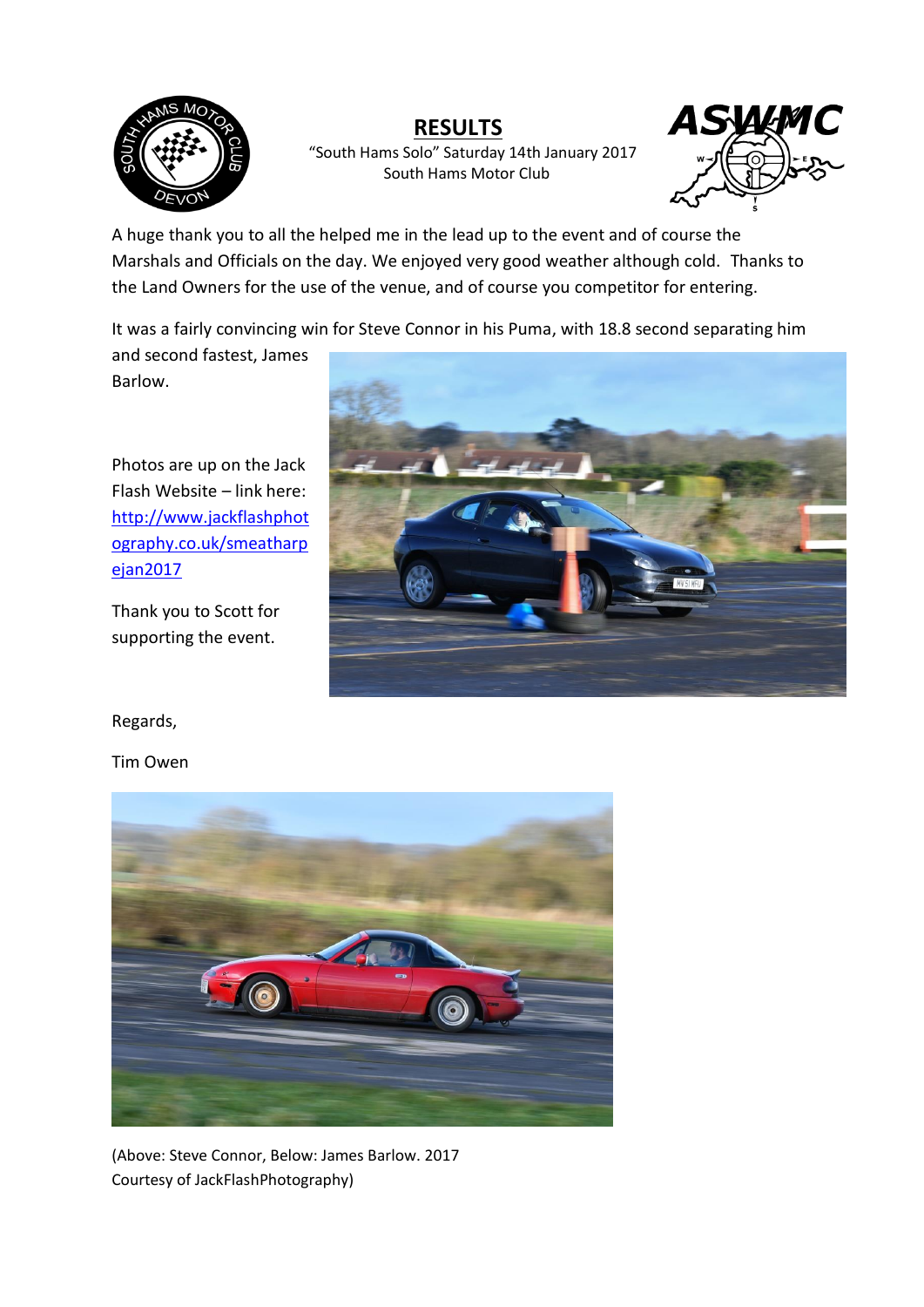

### **RESULTS**

"South Hams Solo" Saturday 14th January 2017 South Hams Motor Club



A huge thank you to all the helped me in the lead up to the event and of course the Marshals and Officials on the day. We enjoyed very good weather although cold. Thanks to the Land Owners for the use of the venue, and of course you competitor for entering.

It was a fairly convincing win for Steve Connor in his Puma, with 18.8 second separating him

and second fastest, James Barlow.

Photos are up on the Jack Flash Website – link here: [http://www.jackflashphot](http://www.jackflashphotography.co.uk/smeatharpejan2017) [ography.co.uk/smeatharp](http://www.jackflashphotography.co.uk/smeatharpejan2017) [ejan2017](http://www.jackflashphotography.co.uk/smeatharpejan2017)

Thank you to Scott for supporting the event.



Regards,

Tim Owen



(Above: Steve Connor, Below: James Barlow. 2017 Courtesy of JackFlashPhotography)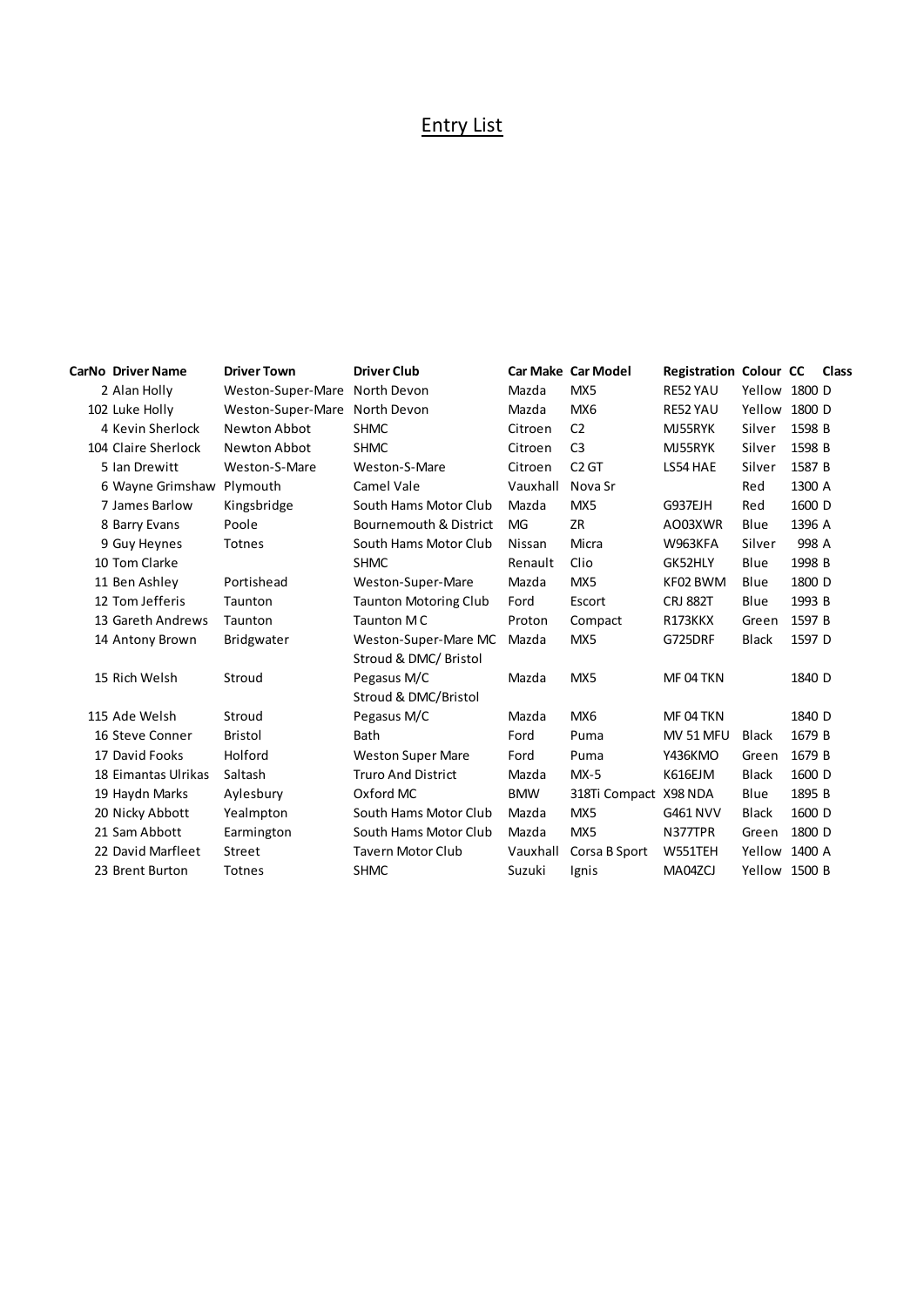## Entry List

| <b>CarNo Driver Name</b> | <b>Driver Town</b>            | <b>Driver Club</b>                |            | <b>Car Make Car Model</b> | <b>Registration Colour CC</b> |               |        | Class |
|--------------------------|-------------------------------|-----------------------------------|------------|---------------------------|-------------------------------|---------------|--------|-------|
| 2 Alan Holly             | Weston-Super-Mare North Devon |                                   | Mazda      | MX5                       | RE52 YAU                      | Yellow 1800 D |        |       |
| 102 Luke Holly           | Weston-Super-Mare             | North Devon                       | Mazda      | MX6                       | RE52 YAU                      | Yellow        | 1800 D |       |
| 4 Kevin Sherlock         | Newton Abbot                  | <b>SHMC</b>                       | Citroen    | C <sub>2</sub>            | MJ55RYK                       | Silver        | 1598 B |       |
| 104 Claire Sherlock      | Newton Abbot                  | <b>SHMC</b>                       | Citroen    | C <sub>3</sub>            | MJ55RYK                       | Silver        | 1598 B |       |
| 5 Ian Drewitt            | Weston-S-Mare                 | Weston-S-Mare                     | Citroen    | C <sub>2</sub> GT         | LS54 HAE                      | Silver        | 1587 B |       |
| 6 Wayne Grimshaw         | Plymouth                      | Camel Vale                        | Vauxhall   | Nova Sr                   |                               | Red           | 1300 A |       |
| 7 James Barlow           | Kingsbridge                   | South Hams Motor Club             | Mazda      | MX5                       | G937EJH                       | Red           | 1600 D |       |
| 8 Barry Evans            | Poole                         | <b>Bournemouth &amp; District</b> | <b>MG</b>  | ZR                        | AO03XWR                       | Blue          | 1396 A |       |
| 9 Guy Heynes             | Totnes                        | South Hams Motor Club             | Nissan     | Micra                     | W963KFA                       | Silver        | 998 A  |       |
| 10 Tom Clarke            |                               | <b>SHMC</b>                       | Renault    | Clio                      | GK52HLY                       | Blue          | 1998 B |       |
| 11 Ben Ashley            | Portishead                    | Weston-Super-Mare                 | Mazda      | MX5                       | KF02 BWM                      | Blue          | 1800 D |       |
| 12 Tom Jefferis          | Taunton                       | <b>Taunton Motoring Club</b>      | Ford       | Escort                    | <b>CRJ 882T</b>               | Blue          | 1993 B |       |
| 13 Gareth Andrews        | Taunton                       | Taunton MC                        | Proton     | Compact                   | R173KKX                       | Green         | 1597 B |       |
| 14 Antony Brown          | <b>Bridgwater</b>             | Weston-Super-Mare MC              | Mazda      | MX5                       | G725DRF                       | <b>Black</b>  | 1597 D |       |
|                          |                               | Stroud & DMC/ Bristol             |            |                           |                               |               |        |       |
| 15 Rich Welsh            | Stroud                        | Pegasus M/C                       | Mazda      | MX5                       | MF 04 TKN                     |               | 1840 D |       |
|                          |                               | Stroud & DMC/Bristol              |            |                           |                               |               |        |       |
| 115 Ade Welsh            | Stroud                        | Pegasus M/C                       | Mazda      | MX6                       | MF 04 TKN                     |               | 1840 D |       |
| 16 Steve Conner          | <b>Bristol</b>                | <b>Bath</b>                       | Ford       | Puma                      | MV 51 MFU                     | Black         | 1679 B |       |
| 17 David Fooks           | Holford                       | <b>Weston Super Mare</b>          | Ford       | Puma                      | <b>Y436KMO</b>                | Green         | 1679 B |       |
| 18 Eimantas Ulrikas      | Saltash                       | <b>Truro And District</b>         | Mazda      | $MX-5$                    | K616EJM                       | <b>Black</b>  | 1600 D |       |
| 19 Haydn Marks           | Aylesbury                     | Oxford MC                         | <b>BMW</b> | 318Ti Compact X98 NDA     |                               | Blue          | 1895 B |       |
| 20 Nicky Abbott          | Yealmpton                     | South Hams Motor Club             | Mazda      | MX5                       | G461 NVV                      | <b>Black</b>  | 1600 D |       |
| 21 Sam Abbott            | Earmington                    | South Hams Motor Club             | Mazda      | MX5                       | N377TPR                       | Green         | 1800 D |       |
| 22 David Marfleet        | Street                        | <b>Tavern Motor Club</b>          | Vauxhall   | Corsa B Sport             | W551TEH                       | Yellow        | 1400 A |       |
| 23 Brent Burton          | <b>Totnes</b>                 | <b>SHMC</b>                       | Suzuki     | Ignis                     | MA04ZCJ                       | Yellow 1500 B |        |       |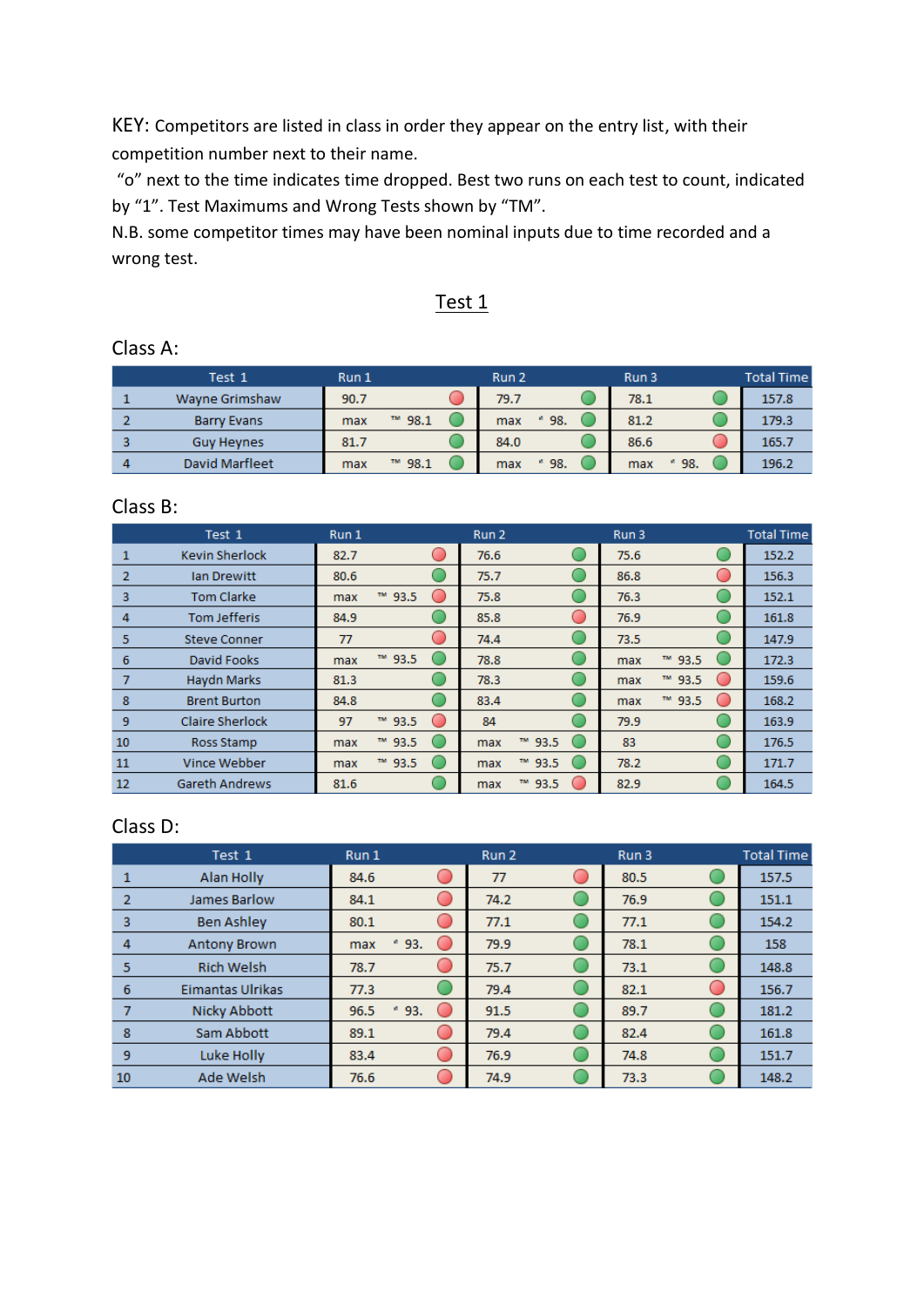KEY: Competitors are listed in class in order they appear on the entry list, with their competition number next to their name.

"o" next to the time indicates time dropped. Best two runs on each test to count, indicated by "1". Test Maximums and Wrong Tests shown by "TM".

N.B. some competitor times may have been nominal inputs due to time recorded and a wrong test.

#### Test 1

#### Class A:

|   | Test 1             | Run 1 |             | Run 2         | Run 3         | <b>Total Time</b> |
|---|--------------------|-------|-------------|---------------|---------------|-------------------|
|   | Wayne Grimshaw     | 90.7  |             | 79.7          | 78.1          | 157.8             |
|   | <b>Barry Evans</b> | max   | 98.1<br>TM. | $*98.$<br>max | 81.2          | 179.3             |
|   | <b>Guv Hevnes</b>  | 81.7  |             | 84.0          | 86.6          | 165.7             |
| 4 | David Marfleet     | max   | TM.<br>98.1 | $*98.$<br>max | $*98.$<br>max | 196.2             |

#### Class B:

|                | Test 1                 | Run 1 |        | Run 2                    |   | Run 3           | <b>Total Time</b> |
|----------------|------------------------|-------|--------|--------------------------|---|-----------------|-------------------|
| 1              | <b>Kevin Sherlock</b>  | 82.7  |        | 76.6                     |   | 75.6            | 152.2             |
| $\overline{2}$ | lan Drewitt            | 80.6  |        | 75.7                     |   | 86.8            | 156.3             |
| 3              | <b>Tom Clarke</b>      | max   | ™ 93.5 | 75.8                     |   | 76.3            | 152.1             |
| 4              | <b>Tom Jefferis</b>    | 84.9  |        | 85.8                     | O | 76.9            | 161.8             |
| 5              | <b>Steve Conner</b>    | 77    |        | 74.4                     |   | 73.5            | 147.9             |
| 6              | David Fooks            | max   | ™ 93.5 | 78.8                     |   | ™ 93.5<br>max   | 172.3             |
| 7              | <b>Haydn Marks</b>     | 81.3  |        | 78.3                     |   | ™ 93.5<br>max   | 159.6             |
| 8              | <b>Brent Burton</b>    | 84.8  |        | 83.4                     |   | $M$ 93.5<br>max | 168.2             |
| 9              | <b>Claire Sherlock</b> | 97    | ™ 93.5 | 84                       |   | 79.9            | 163.9             |
| 10             | Ross Stamp             | max   | ™ 93.5 | ™ 93.5<br>max            | œ | 83              | 176.5             |
| 11             | Vince Webber           | max   | ™ 93.5 | <b>TM</b><br>93.5<br>max |   | 78.2            | 171.7             |
| 12             | <b>Gareth Andrews</b>  | 81.6  |        | ™ 93.5<br>max            |   | 82.9            | 164.5             |

|                | Test 1                  | Run 1             | Run 2 | Run 3 | <b>Total Time</b> |
|----------------|-------------------------|-------------------|-------|-------|-------------------|
|                | Alan Holly              | 84.6              | 77    | 80.5  | 157.5             |
| $\overline{2}$ | James Barlow            | 84.1              | 74.2  | 76.9  | 151.1             |
| 3              | <b>Ben Ashley</b>       | 80.1              | 77.1  | 77.1  | 154.2             |
| 4              | <b>Antony Brown</b>     | ø.<br>93.<br>max  | 79.9  | 78.1  | 158               |
| 5              | <b>Rich Welsh</b>       | 78.7              | 75.7  | 73.1  | 148.8             |
| 6              | <b>Eimantas Ulrikas</b> | 77.3              | 79.4  | 82.1  | 156.7             |
|                | Nicky Abbott            | 96.5<br>93.<br>ø. | 91.5  | 89.7  | 181.2             |
| 8              | Sam Abbott              | 89.1              | 79.4  | 82.4  | 161.8             |
| 9              | Luke Holly              | 83.4              | 76.9  | 74.8  | 151.7             |
| 10             | Ade Welsh               | 76.6              | 74.9  | 73.3  | 148.2             |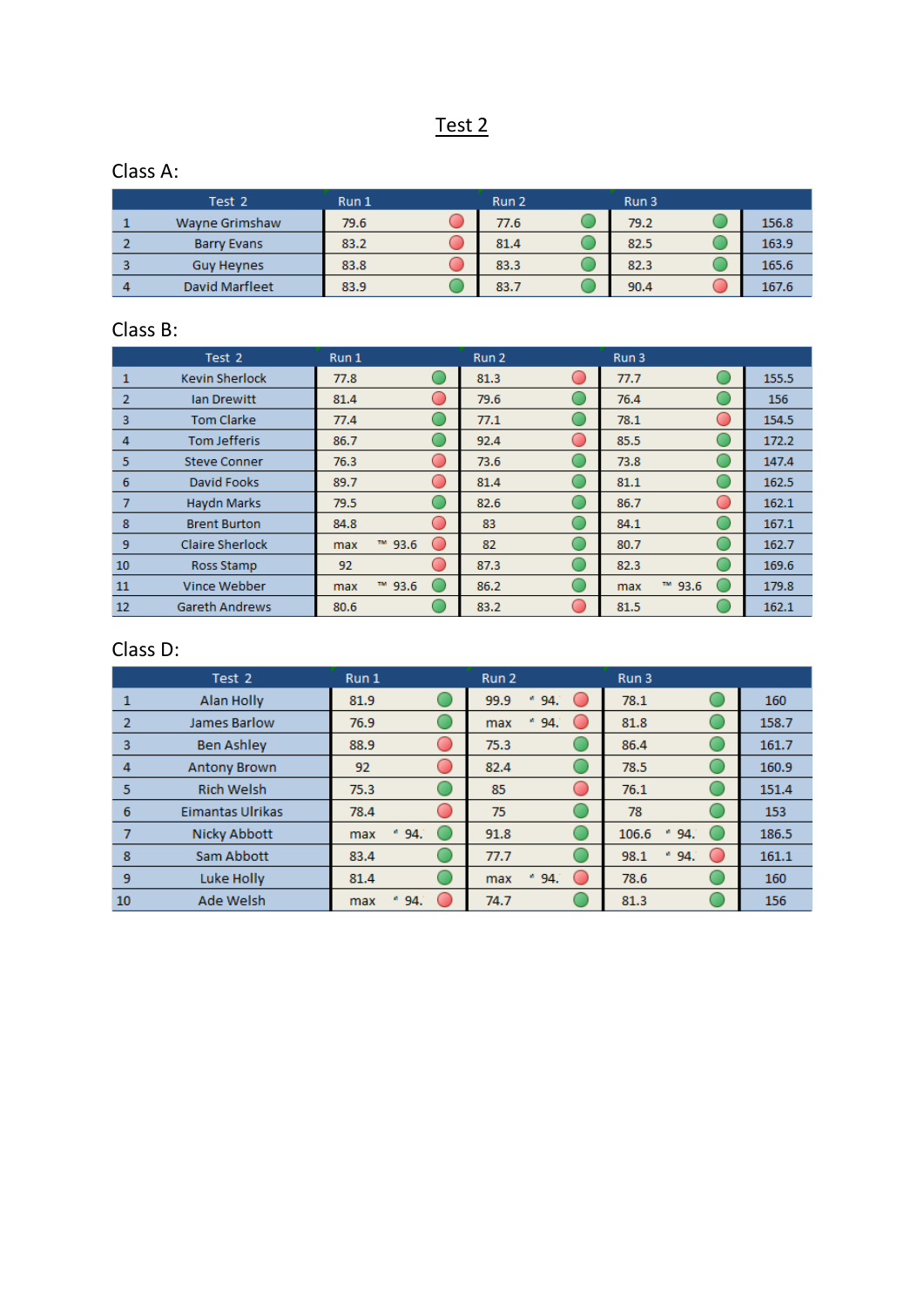## Test 2

### Class A:

| Test 2             | Run 1 | Run 2 | Run 3 |       |
|--------------------|-------|-------|-------|-------|
| Wayne Grimshaw     | 79.6  | 77.6  | 79.2  | 156.8 |
| <b>Barry Evans</b> | 83.2  | 81.4  | 82.5  | 163.9 |
| <b>Guy Heynes</b>  | 83.8  | 83.3  | 82.3  | 165.6 |
| David Marfleet     | 83.9  | 83.7  | 90.4  | 167.6 |

#### Class B:

|                | Test 2                 | Run 1                           | Run 2                                                 | Run 3         |       |
|----------------|------------------------|---------------------------------|-------------------------------------------------------|---------------|-------|
| 1              | <b>Kevin Sherlock</b>  | 77.8                            | 81.3<br>$\left( \begin{array}{c} \end{array} \right)$ | 77.7          | 155.5 |
| $\overline{2}$ | lan Drewitt            | 81.4<br>C                       | 79.6                                                  | 76.4          | 156   |
| 3              | <b>Tom Clarke</b>      | 77.4                            | 77.1                                                  | 78.1          | 154.5 |
| 4              | <b>Tom Jefferis</b>    | 86.7                            | 92.4<br>O                                             | 85.5          | 172.2 |
| 5              | <b>Steve Conner</b>    | 76.3<br>c.                      | 73.6                                                  | 73.8          | 147.4 |
| 6              | David Fooks            | 89.7                            | 81.4                                                  | 81.1          | 162.5 |
| 7              | Haydn Marks            | 79.5                            | 82.6                                                  | 86.7          | 162.1 |
| 8              | <b>Brent Burton</b>    | 84.8                            | 83                                                    | 84.1          | 167.1 |
| 9              | <b>Claire Sherlock</b> | ™ 93.6<br>$\blacksquare$<br>max | 82                                                    | 80.7          | 162.7 |
| 10             | Ross Stamp             | 92                              | 87.3                                                  | 82.3          | 169.6 |
| 11             | Vince Webber           | ™ 93.6<br>max                   | 86.2                                                  | ™ 93.6<br>max | 179.8 |
| 12             | <b>Gareth Andrews</b>  | 80.6                            | 83.2<br>$\overline{\phantom{0}}$                      | 81.5          | 162.1 |

|    | Test 2                  | Run 1            | Run 2                                     | Run 3              |       |
|----|-------------------------|------------------|-------------------------------------------|--------------------|-------|
|    | Alan Holly              | 81.9             | 99.9<br>$*94.$                            | 78.1               | 160   |
| 2  | <b>James Barlow</b>     | 76.9             | " 94.<br>max                              | 81.8               | 158.7 |
| з  | <b>Ben Ashley</b>       | 88.9             | 75.3                                      | 86.4               | 161.7 |
| 4  | <b>Antony Brown</b>     | 92               | 82.4                                      | 78.5               | 160.9 |
| 5  | <b>Rich Welsh</b>       | 75.3             | 85                                        | 76.1               | 151.4 |
| 6  | <b>Eimantas Ulrikas</b> | 78.4             | 75                                        | 78                 | 153   |
|    | Nicky Abbott            | ø.<br>94.<br>max | 91.8                                      | 106.6<br>94.<br>ø. | 186.5 |
| 8  | Sam Abbott              | 83.4             | 77.7                                      | 94.<br>98.1<br>ø,  | 161.1 |
| 9  | Luke Holly              | 81.4             | $*94.$<br>$\overline{\phantom{a}}$<br>max | 78.6               | 160   |
| 10 | <b>Ade Welsh</b>        | w.<br>94.<br>max | 74.7                                      | 81.3               | 156   |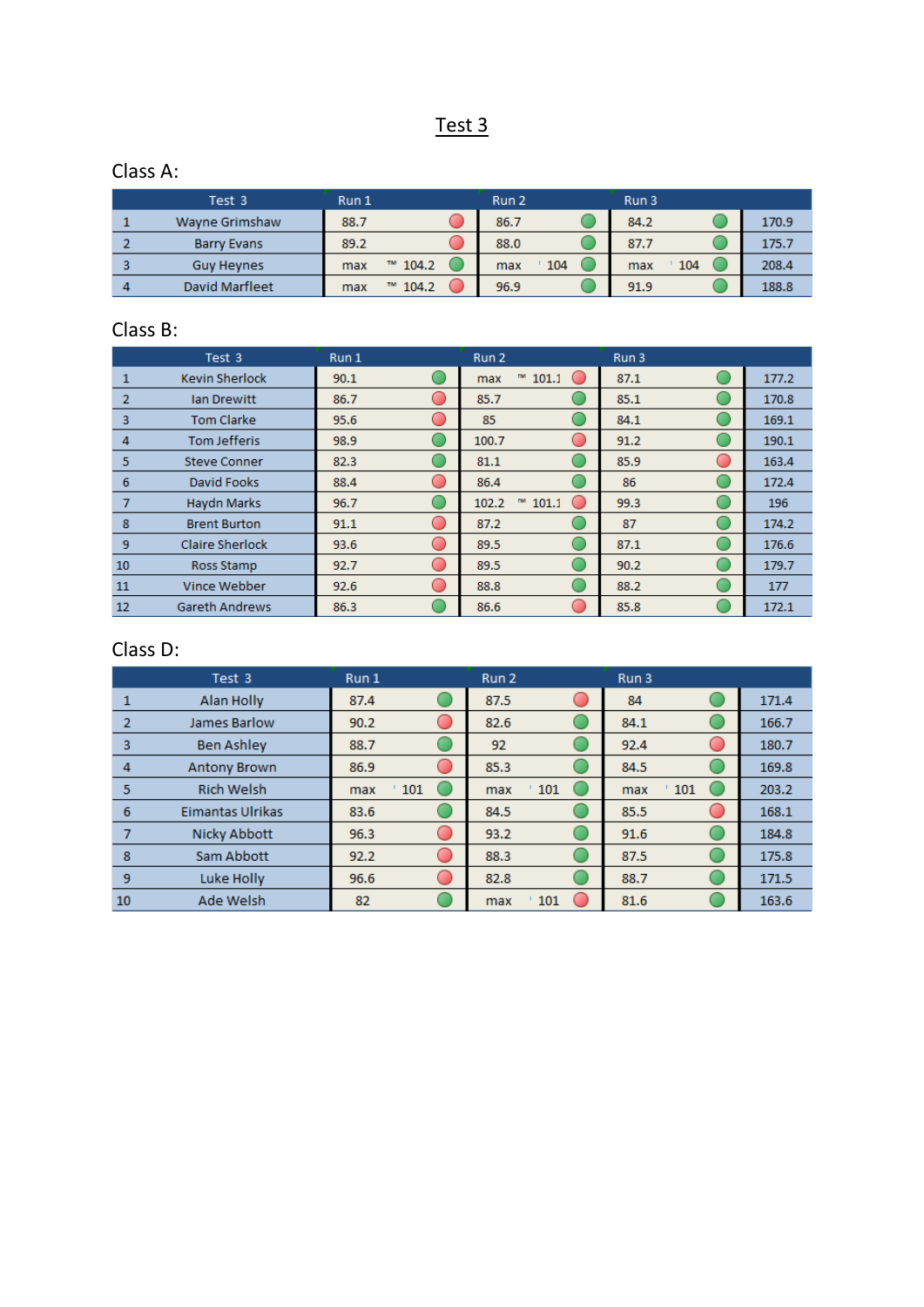## Test 3

### Class A:

| Test 3            | Run 1 |              | Run 2 |     | Run 3      |       |
|-------------------|-------|--------------|-------|-----|------------|-------|
| Wayne Grimshaw    | 88.7  |              | 86.7  |     | 84.2       | 170.9 |
| Barry Evans       | 89.2  |              | 88.0  |     | 87.7       | 175.7 |
| <b>Guv Hevnes</b> | max   | $M$ 104.2    | max   | 104 | 104<br>max | 208.4 |
| David Marfleet    | max   | 104.2<br>TM. | 96.9  |     | 91.9       | 188.8 |

### Class B:

|                | Test 3                 | Run 1     | Run 2                                           | Run 3 |       |
|----------------|------------------------|-----------|-------------------------------------------------|-------|-------|
| 1              | <b>Kevin Sherlock</b>  | 90.1      | $M$ 101.1<br>$\blacksquare$<br>max              | 87.1  | 177.2 |
| $\overline{2}$ | <b>Ian Drewitt</b>     | 86.7      | 85.7                                            | 85.1  | 170.8 |
| 3              | <b>Tom Clarke</b>      | 95.6      | 85                                              | 84.1  | 169.1 |
| 4              | <b>Tom Jefferis</b>    | 98.9      | 100.7<br>œ                                      | 91.2  | 190.1 |
| 5              | <b>Steve Conner</b>    | 82.3      | 81.1                                            | 85.9  | 163.4 |
| 6              | David Fooks            | 88.4      | 86.4                                            | 86    | 172.4 |
| 7              | <b>Haydn Marks</b>     | 96.7      | m<br>102.2<br>101.1<br>$\overline{\phantom{a}}$ | 99.3  | 196   |
| 8              | <b>Brent Burton</b>    | 91.1      | 87.2                                            | 87    | 174.2 |
| 9              | <b>Claire Sherlock</b> | 93.6<br>O | 89.5                                            | 87.1  | 176.6 |
| 10             | Ross Stamp             | 92.7      | 89.5                                            | 90.2  | 179.7 |
| 11             | Vince Webber           | 92.6      | 88.8                                            | 88.2  | 177   |
| 12             | <b>Gareth Andrews</b>  | 86.3      | 86.6                                            | 85.8  | 172.1 |

|    | Test 3                  | Run 1                                                               | Run 2      | Run 3      |       |
|----|-------------------------|---------------------------------------------------------------------|------------|------------|-------|
|    | Alan Holly              | 87.4                                                                | 87.5       | 84         | 171.4 |
| 2  | <b>James Barlow</b>     | 90.2                                                                | 82.6       | 84.1       | 166.7 |
| 3  | <b>Ben Ashley</b>       | 88.7                                                                | 92         | 92.4       | 180.7 |
| 4  | <b>Antony Brown</b>     | 86.9                                                                | 85.3       | 84.5       | 169.8 |
| 5  | <b>Rich Welsh</b>       | 101<br>max                                                          | 101<br>max | 101<br>max | 203.2 |
| 6  | <b>Eimantas Ulrikas</b> | 83.6                                                                | 84.5       | 85.5       | 168.1 |
|    | Nicky Abbott            | 96.3<br>$\begin{array}{c} \begin{array}{c} \end{array} \end{array}$ | 93.2       | 91.6       | 184.8 |
| 8  | Sam Abbott              | 92.2                                                                | 88.3       | 87.5       | 175.8 |
| 9  | Luke Holly              | 96.6                                                                | 82.8       | 88.7       | 171.5 |
| 10 | <b>Ade Welsh</b>        | 82                                                                  | 101<br>max | 81.6       | 163.6 |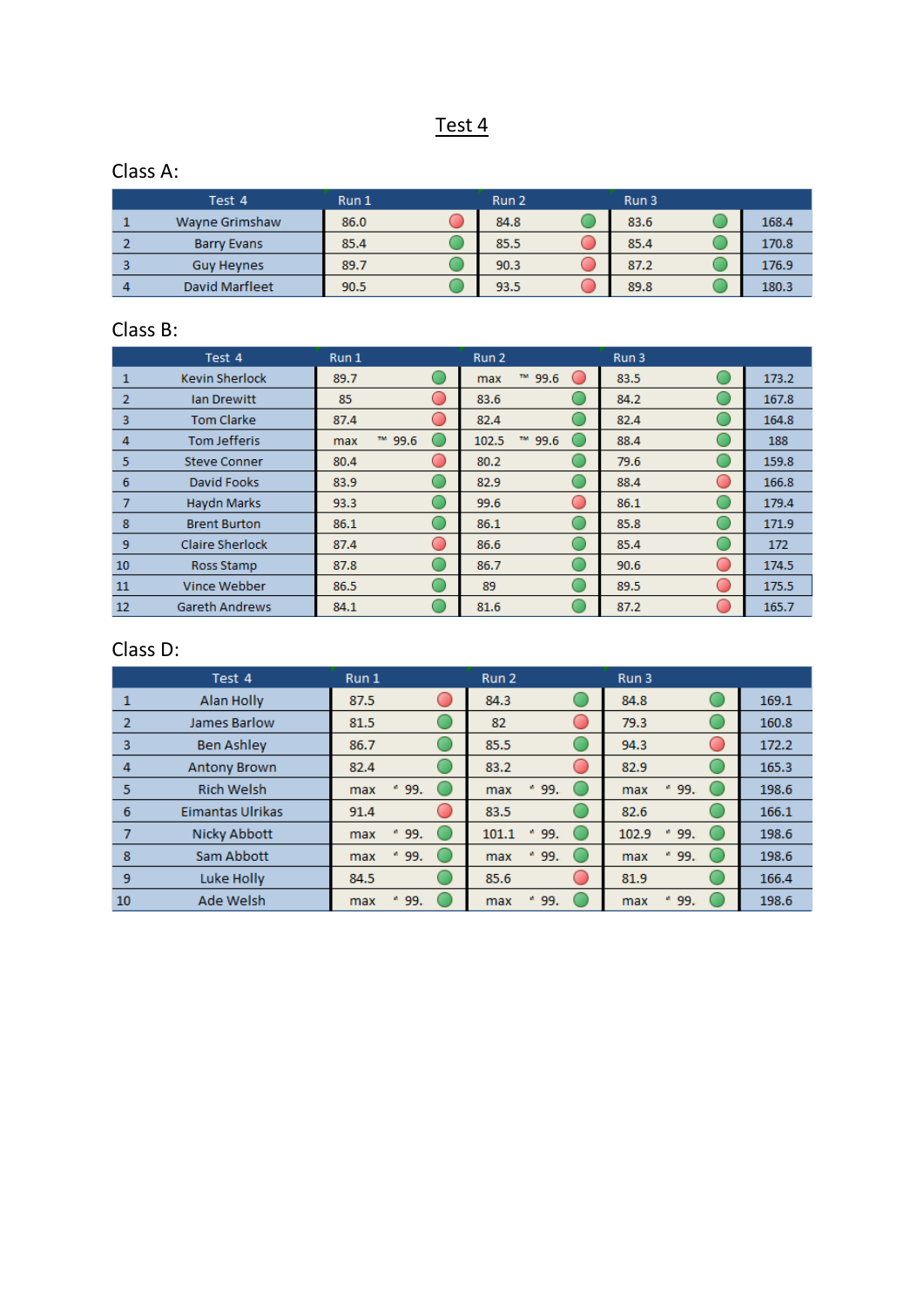## Test 4

### Class A:

| Test 4             | Run 1 | Run 2 | Run 3 |       |
|--------------------|-------|-------|-------|-------|
| Wayne Grimshaw     | 86.0  | 84.8  | 83.6  | 168.4 |
| <b>Barry Evans</b> | 85.4  | 85.5  | 85.4  | 170.8 |
| <b>Guy Heynes</b>  | 89.7  | 90.3  | 87.2  | 176.9 |
| David Marfleet     | 90.5  | 93.5  | 89.8  | 180.3 |

#### Class B:

|                | Test 4                 | Run 1         | Run 2                                                          | Run 3 |       |
|----------------|------------------------|---------------|----------------------------------------------------------------|-------|-------|
| 1              | <b>Kevin Sherlock</b>  | 89.7          | ™ 99.6<br>$\left( \begin{array}{c} \end{array} \right)$<br>max | 83.5  | 173.2 |
| $\overline{2}$ | lan Drewitt            | 85<br>C       | 83.6                                                           | 84.2  | 167.8 |
| 3              | <b>Tom Clarke</b>      | 87.4          | 82.4                                                           | 82.4  | 164.8 |
| 4              | <b>Tom Jefferis</b>    | ™ 99.6<br>max | ™ 99.6<br>102.5                                                | 88.4  | 188   |
| 5              | <b>Steve Conner</b>    | 80.4<br>c.    | 80.2                                                           | 79.6  | 159.8 |
| 6              | David Fooks            | 83.9          | 82.9                                                           | 88.4  | 166.8 |
| 7              | Haydn Marks            | 93.3          | 99.6<br>$\overline{(\phantom{a})}$                             | 86.1  | 179.4 |
| 8              | <b>Brent Burton</b>    | 86.1          | 86.1                                                           | 85.8  | 171.9 |
| 9              | <b>Claire Sherlock</b> | 87.4<br>C     | 86.6                                                           | 85.4  | 172   |
| 10             | Ross Stamp             | 87.8          | 86.7                                                           | 90.6  | 174.5 |
| 11             | Vince Webber           | 86.5          | 89                                                             | 89.5  | 175.5 |
| 12             | <b>Gareth Andrews</b>  | 84.1          | 81.6                                                           | 87.2  | 165.7 |

|    | Test 4              | Run 1            | Run 2           | Run 3              |       |
|----|---------------------|------------------|-----------------|--------------------|-------|
|    | Alan Holly          | 87.5             | 84.3            | 84.8               | 169.1 |
| 2  | <b>James Barlow</b> | 81.5             | 82              | 79.3               | 160.8 |
| 3  | <b>Ben Ashley</b>   | 86.7             | 85.5            | 94.3               | 172.2 |
| 4  | <b>Antony Brown</b> | 82.4             | 83.2            | 82.9               | 165.3 |
| 5  | <b>Rich Welsh</b>   | a.<br>99.<br>max | * 99.<br>max    | 99.<br>ø<br>max    | 198.6 |
| 6  | Eimantas Ulrikas    | 91.4             | 83.5            | 82.6               | 166.1 |
| 7  | Nicky Abbott        | a.<br>99.<br>max | $*99.$<br>101.1 | 102.9<br>99.<br>ø. | 198.6 |
| 8  | Sam Abbott          | ø.<br>99.<br>max | * 99.<br>max    | 99.<br>ø.<br>max   | 198.6 |
| 9  | Luke Holly          | 84.5             | 85.6            | 81.9               | 166.4 |
| 10 | Ade Welsh           | w.<br>99.<br>max | 99.<br>max      | 99.<br>max         | 198.6 |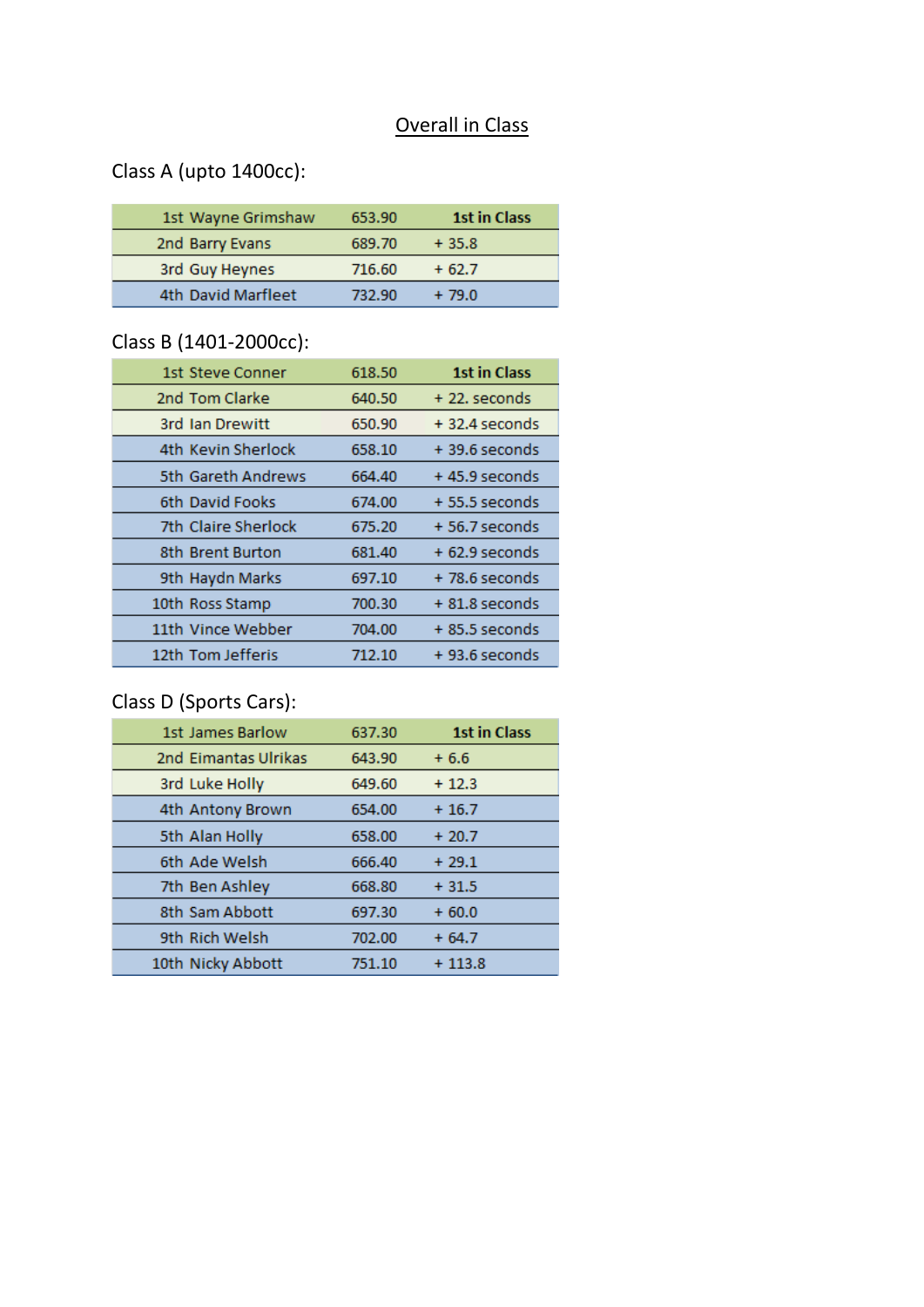## Overall in Class

# Class A (upto 1400cc):

| 1st Wayne Grimshaw | 653.90 | <b>1st in Class</b> |
|--------------------|--------|---------------------|
| 2nd Barry Evans    | 689.70 | $+35.8$             |
| 3rd Guy Heynes     | 716.60 | $+62.7$             |
| 4th David Marfleet | 732.90 | $+79.0$             |

# Class B (1401-2000cc):

| 1st Steve Conner    | 618.50 | <b>1st in Class</b> |
|---------------------|--------|---------------------|
| 2nd Tom Clarke      | 640.50 | $+22$ . seconds     |
| 3rd Jan Drewitt     | 650.90 | $+32.4$ seconds     |
| 4th Kevin Sherlock  | 658.10 | $+39.6$ seconds     |
| 5th Gareth Andrews  | 664.40 | $+45.9$ seconds     |
| 6th David Fooks     | 674.00 | $+55.5$ seconds     |
| 7th Claire Sherlock | 675.20 | + 56.7 seconds      |
| 8th Brent Burton    | 681.40 | $+62.9$ seconds     |
| 9th Haydn Marks     | 697.10 | $+78.6$ seconds     |
| 10th Ross Stamp     | 700.30 | $+81.8$ seconds     |
| 11th Vince Webber   | 704.00 | $+85.5$ seconds     |
| 12th Tom Jefferis   | 712.10 | $+93.6$ seconds     |
|                     |        |                     |

## Class D (Sports Cars):

| 1st James Barlow     | 637.30 | <b>1st in Class</b> |
|----------------------|--------|---------------------|
| 2nd Eimantas Ulrikas | 643.90 | $+6.6$              |
| 3rd Luke Holly       | 649.60 | $+12.3$             |
| 4th Antony Brown     | 654.00 | $+16.7$             |
| 5th Alan Holly       | 658.00 | $+20.7$             |
| 6th Ade Welsh        | 666.40 | $+29.1$             |
| 7th Ben Ashley       | 668.80 | $+31.5$             |
| 8th Sam Abbott       | 697.30 | $+60.0$             |
| 9th Rich Welsh       | 702.00 | $+64.7$             |
| 10th Nicky Abbott    | 751.10 | $+113.8$            |